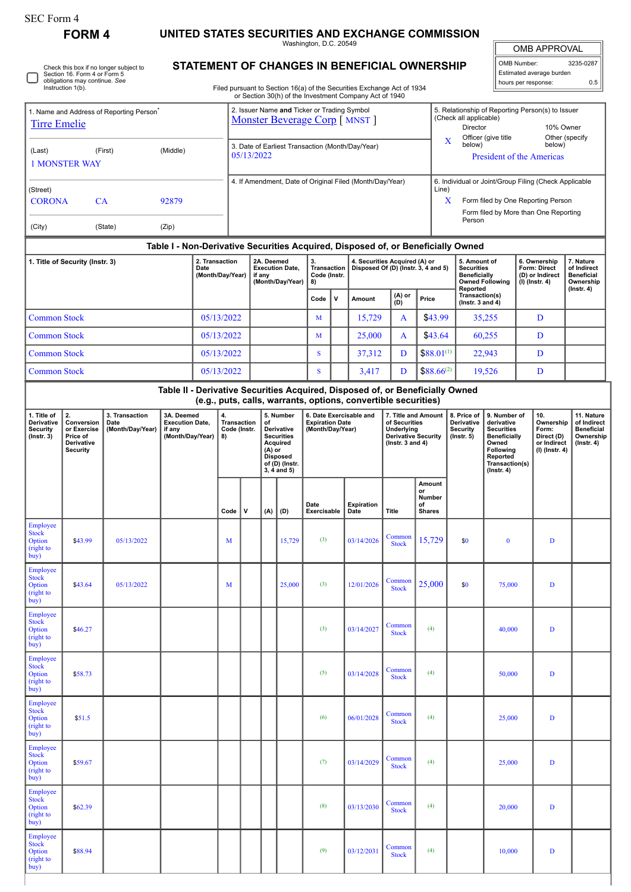∩

## **FORM 4 UNITED STATES SECURITIES AND EXCHANGE COMMISSION**

Washington, D.C. 20549

 $\blacksquare$ OMB APPROVAL

| OMB Number:              | 3235-0287 |  |  |  |  |  |  |  |  |
|--------------------------|-----------|--|--|--|--|--|--|--|--|
| Estimated average burden |           |  |  |  |  |  |  |  |  |
| hours per response:      | 0.5       |  |  |  |  |  |  |  |  |

Check this box if no longer subject to Section 16. Form 4 or Form 5 obligations may continue. *See* Instruction 1(b).

## **STATEMENT OF CHANGES IN BENEFICIAL OWNERSHIP**

Filed pursuant to Section 16(a) of the Securities Exchange Act of 1934 or Section 30(h) of the Investment Company Act of 1940

| 1. Name and Address of Reporting Person <sup>®</sup><br><b>Tirre Emelie</b>   |                                                                                                                                                                                                  |            |       |          |                                                                                                                                                                 | 2. Issuer Name and Ticker or Trading Symbol<br>Monster Beverage Corp [ MNST ] |     |                                                                       |                                                        |   |                                                                                                                                                 |                                                                      |                                               | 5. Relationship of Reporting Person(s) to Issuer<br>(Check all applicable)<br>Director<br>10% Owner                                                          |                                                                                                                                                |                        |                                                                          |                                                                           |                                                                                |  |  |  |
|-------------------------------------------------------------------------------|--------------------------------------------------------------------------------------------------------------------------------------------------------------------------------------------------|------------|-------|----------|-----------------------------------------------------------------------------------------------------------------------------------------------------------------|-------------------------------------------------------------------------------|-----|-----------------------------------------------------------------------|--------------------------------------------------------|---|-------------------------------------------------------------------------------------------------------------------------------------------------|----------------------------------------------------------------------|-----------------------------------------------|--------------------------------------------------------------------------------------------------------------------------------------------------------------|------------------------------------------------------------------------------------------------------------------------------------------------|------------------------|--------------------------------------------------------------------------|---------------------------------------------------------------------------|--------------------------------------------------------------------------------|--|--|--|
| (First)<br>(Middle)<br>(Last)<br><b>1 MONSTER WAY</b>                         |                                                                                                                                                                                                  |            |       |          |                                                                                                                                                                 | 3. Date of Earliest Transaction (Month/Day/Year)<br>05/13/2022                |     |                                                                       |                                                        |   |                                                                                                                                                 |                                                                      |                                               | Officer (give title<br>Other (specify<br>X<br>below)<br>below)<br><b>President of the Americas</b>                                                           |                                                                                                                                                |                        |                                                                          |                                                                           |                                                                                |  |  |  |
| (Street)<br><b>CORONA</b><br>CA<br>92879                                      |                                                                                                                                                                                                  |            |       |          |                                                                                                                                                                 | 4. If Amendment, Date of Original Filed (Month/Day/Year)                      |     |                                                                       |                                                        |   |                                                                                                                                                 |                                                                      |                                               | 6. Individual or Joint/Group Filing (Check Applicable<br>Line)<br>X<br>Form filed by One Reporting Person<br>Form filed by More than One Reporting<br>Person |                                                                                                                                                |                        |                                                                          |                                                                           |                                                                                |  |  |  |
| (City)                                                                        |                                                                                                                                                                                                  | (State)    | (Zip) |          |                                                                                                                                                                 |                                                                               |     |                                                                       |                                                        |   |                                                                                                                                                 |                                                                      |                                               |                                                                                                                                                              |                                                                                                                                                |                        |                                                                          |                                                                           |                                                                                |  |  |  |
|                                                                               |                                                                                                                                                                                                  |            |       |          |                                                                                                                                                                 |                                                                               |     |                                                                       |                                                        |   | Table I - Non-Derivative Securities Acquired, Disposed of, or Beneficially Owned                                                                |                                                                      |                                               |                                                                                                                                                              |                                                                                                                                                |                        |                                                                          |                                                                           |                                                                                |  |  |  |
| 2. Transaction<br>1. Title of Security (Instr. 3)<br>Date<br>(Month/Day/Year) |                                                                                                                                                                                                  |            |       |          |                                                                                                                                                                 | 2A. Deemed<br><b>Execution Date,</b><br>if any<br>(Month/Day/Year)            |     |                                                                       | 3.<br><b>Transaction</b><br>Code (Instr.<br>8)<br>Code |   |                                                                                                                                                 | 4. Securities Acquired (A) or<br>Disposed Of (D) (Instr. 3, 4 and 5) |                                               |                                                                                                                                                              | 5. Amount of<br><b>Securities</b><br><b>Beneficially</b><br>Reported                                                                           | <b>Owned Following</b> |                                                                          | 6. Ownership<br>Form: Direct<br>(D) or Indirect<br>(I) (Instr. 4)         | 7. Nature<br>of Indirect<br><b>Beneficial</b><br>Ownership<br>$($ lnstr. 4 $)$ |  |  |  |
|                                                                               |                                                                                                                                                                                                  |            |       |          |                                                                                                                                                                 |                                                                               |     |                                                                       |                                                        | v | Amount                                                                                                                                          | (A) or<br>(D)                                                        | Price                                         |                                                                                                                                                              | Transaction(s)<br>(Instr. $3$ and $4)$                                                                                                         |                        |                                                                          |                                                                           |                                                                                |  |  |  |
| <b>Common Stock</b>                                                           |                                                                                                                                                                                                  |            |       |          | 05/13/2022                                                                                                                                                      |                                                                               |     |                                                                       |                                                        |   | 15,729                                                                                                                                          | A                                                                    | \$43.99                                       |                                                                                                                                                              | 35,255                                                                                                                                         |                        | D                                                                        |                                                                           |                                                                                |  |  |  |
| <b>Common Stock</b>                                                           |                                                                                                                                                                                                  |            |       |          | 05/13/2022                                                                                                                                                      |                                                                               |     |                                                                       | M<br>S                                                 |   | 25,000                                                                                                                                          | A                                                                    | \$43.64                                       |                                                                                                                                                              | 60,255                                                                                                                                         |                        | D                                                                        |                                                                           |                                                                                |  |  |  |
| <b>Common Stock</b>                                                           |                                                                                                                                                                                                  |            |       |          | 05/13/2022                                                                                                                                                      |                                                                               |     |                                                                       |                                                        |   | 37,312                                                                                                                                          | D                                                                    | $$88.01^{(1)}$<br>$$88.66^{(2)}$              |                                                                                                                                                              | 22,943                                                                                                                                         |                        | D<br>D                                                                   |                                                                           |                                                                                |  |  |  |
| <b>Common Stock</b>                                                           |                                                                                                                                                                                                  |            |       |          | 05/13/2022                                                                                                                                                      |                                                                               |     |                                                                       | S                                                      |   | 3,417                                                                                                                                           | D                                                                    |                                               |                                                                                                                                                              |                                                                                                                                                |                        | 19,526                                                                   |                                                                           |                                                                                |  |  |  |
|                                                                               |                                                                                                                                                                                                  |            |       |          |                                                                                                                                                                 |                                                                               |     |                                                                       |                                                        |   | Table II - Derivative Securities Acquired, Disposed of, or Beneficially Owned<br>(e.g., puts, calls, warrants, options, convertible securities) |                                                                      |                                               |                                                                                                                                                              |                                                                                                                                                |                        |                                                                          |                                                                           |                                                                                |  |  |  |
| 1. Title of<br>Derivative<br><b>Security</b><br>$($ Instr. 3 $)$              | 2.<br>3A. Deemed<br>3. Transaction<br>Conversion<br><b>Execution Date,</b><br>Date<br>or Exercise<br>(Month/Day/Year)<br>if any<br>(Month/Day/Year)<br>Price of<br>Derivative<br><b>Security</b> |            |       | 4.<br>8) | 5. Number<br>Transaction<br>of<br>Code (Instr.<br>Derivative<br><b>Securities</b><br>Acquired<br>(A) or<br><b>Disposed</b><br>of (D) (Instr.<br>$3, 4$ and $5)$ |                                                                               |     | 6. Date Exercisable and<br><b>Expiration Date</b><br>(Month/Day/Year) |                                                        |   | 7. Title and Amount<br>of Securities<br><b>Underlying</b><br><b>Derivative Security</b><br>( $lnstr. 3 and 4$ )                                 |                                                                      |                                               | 8. Price of<br><b>Derivative</b><br><b>Security</b><br>$($ lnstr. 5 $)$                                                                                      | 9. Number of<br>derivative<br><b>Securities</b><br><b>Beneficially</b><br>Owned<br>Following<br>Reported<br>Transaction(s)<br>$($ Instr. 4 $)$ |                        | 10.<br>Ownership<br>Form:<br>Direct (D)<br>or Indirect<br>(I) (Instr. 4) | 11. Nature<br>of Indirect<br><b>Beneficial</b><br>Ownership<br>(Insert 4) |                                                                                |  |  |  |
|                                                                               |                                                                                                                                                                                                  |            |       |          | Code                                                                                                                                                            | v                                                                             | (A) | (D)                                                                   | Date<br>Exercisable                                    |   | <b>Expiration</b><br>Date                                                                                                                       | Title                                                                | Amount<br>or<br>Number<br>of<br><b>Shares</b> |                                                                                                                                                              |                                                                                                                                                |                        |                                                                          |                                                                           |                                                                                |  |  |  |
| Employee<br><b>Stock</b><br>Option<br>(right to<br>buy)                       | \$43.99                                                                                                                                                                                          | 05/13/2022 |       |          | M                                                                                                                                                               |                                                                               |     | 15,729                                                                | (3)                                                    |   | 03/14/2026                                                                                                                                      | Common<br><b>Stock</b>                                               | 15,729                                        |                                                                                                                                                              | \$0                                                                                                                                            | $\bf{0}$               |                                                                          | $\mathbf{D}$                                                              |                                                                                |  |  |  |
| Employee<br><b>Stock</b><br>Option<br>(right to<br>buy)                       | \$43.64                                                                                                                                                                                          | 05/13/2022 |       |          | M                                                                                                                                                               |                                                                               |     | 25,000                                                                | (3)                                                    |   | 12/01/2026                                                                                                                                      | Common<br><b>Stock</b>                                               | 25,000                                        |                                                                                                                                                              | \$0                                                                                                                                            | 75,000                 |                                                                          | $\mathbf D$                                                               |                                                                                |  |  |  |
| Employee<br><b>Stock</b><br>Option<br>(right to<br>buy)                       | \$46.27                                                                                                                                                                                          |            |       |          |                                                                                                                                                                 |                                                                               |     |                                                                       | (3)                                                    |   | 03/14/2027                                                                                                                                      | Common<br><b>Stock</b>                                               | (4)                                           |                                                                                                                                                              |                                                                                                                                                | 40,000                 |                                                                          | D                                                                         |                                                                                |  |  |  |
| Employee<br><b>Stock</b><br>Option<br>(right to<br>buy)                       | \$58.73                                                                                                                                                                                          |            |       |          |                                                                                                                                                                 |                                                                               |     |                                                                       | (5)                                                    |   | 03/14/2028                                                                                                                                      | Common<br><b>Stock</b>                                               | (4)                                           |                                                                                                                                                              |                                                                                                                                                | 50,000                 |                                                                          | D                                                                         |                                                                                |  |  |  |
| Employee<br><b>Stock</b><br>Option<br>(right to<br>buy)                       | \$51.5                                                                                                                                                                                           |            |       |          |                                                                                                                                                                 |                                                                               |     |                                                                       | (6)                                                    |   | 06/01/2028                                                                                                                                      | Common<br><b>Stock</b>                                               | (4)                                           |                                                                                                                                                              |                                                                                                                                                | 25,000                 |                                                                          | $\mathbf D$                                                               |                                                                                |  |  |  |
| Employee<br><b>Stock</b><br>Option<br>(right to<br>buy)                       | \$59.67                                                                                                                                                                                          |            |       |          |                                                                                                                                                                 |                                                                               |     |                                                                       | (7)                                                    |   | 03/14/2029                                                                                                                                      | Common<br><b>Stock</b>                                               | (4)                                           |                                                                                                                                                              |                                                                                                                                                | 25,000                 |                                                                          | D                                                                         |                                                                                |  |  |  |
| Employee<br><b>Stock</b><br>Option<br>(right to<br>buy)                       | \$62.39                                                                                                                                                                                          |            |       |          |                                                                                                                                                                 |                                                                               |     |                                                                       | (8)                                                    |   | 03/13/2030                                                                                                                                      | Common<br><b>Stock</b>                                               | (4)                                           |                                                                                                                                                              |                                                                                                                                                | 20,000                 |                                                                          | $\mathbf D$                                                               |                                                                                |  |  |  |
| Employee<br><b>Stock</b><br>Option<br>(right to<br>buy)                       | \$88.94                                                                                                                                                                                          |            |       |          |                                                                                                                                                                 |                                                                               |     |                                                                       | (9)                                                    |   | 03/12/2031                                                                                                                                      | Common<br><b>Stock</b>                                               | (4)                                           |                                                                                                                                                              |                                                                                                                                                | 10,000                 |                                                                          | D                                                                         |                                                                                |  |  |  |